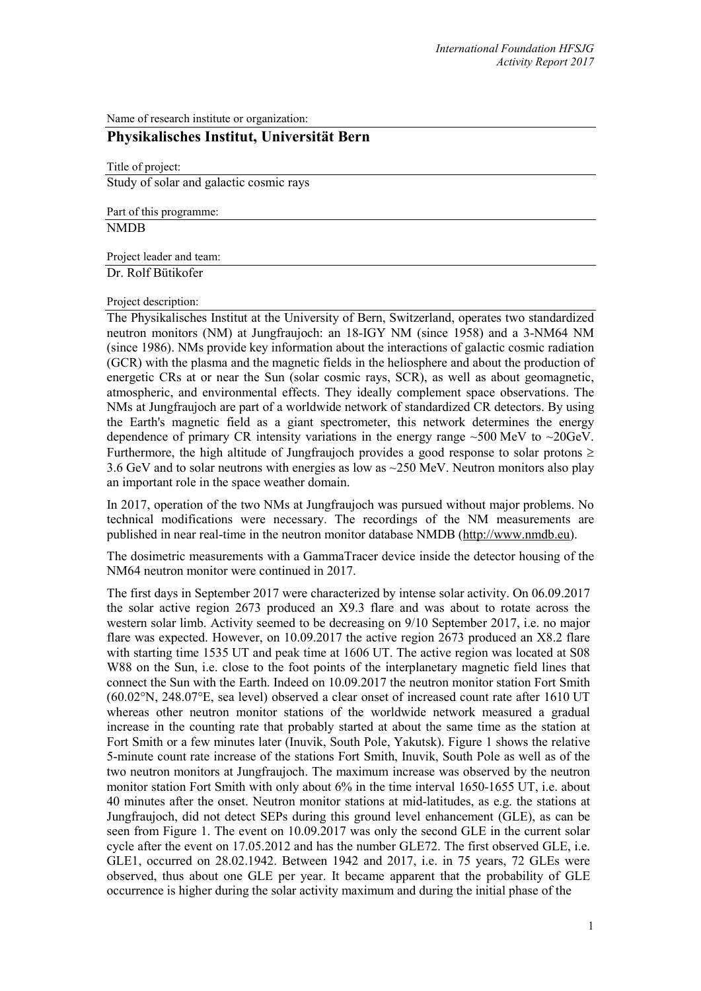Name of research institute or organization:

## **Physikalisches Institut, Universität Bern**

Title of project: Study of solar and galactic cosmic rays

Part of this programme: NMDB

Project leader and team:

Dr. Rolf Bütikofer

Project description:

The Physikalisches Institut at the University of Bern, Switzerland, operates two standardized neutron monitors (NM) at Jungfraujoch: an 18-IGY NM (since 1958) and a 3-NM64 NM (since 1986). NMs provide key information about the interactions of galactic cosmic radiation (GCR) with the plasma and the magnetic fields in the heliosphere and about the production of energetic CRs at or near the Sun (solar cosmic rays, SCR), as well as about geomagnetic, atmospheric, and environmental effects. They ideally complement space observations. The NMs at Jungfraujoch are part of a worldwide network of standardized CR detectors. By using the Earth's magnetic field as a giant spectrometer, this network determines the energy dependence of primary CR intensity variations in the energy range ~500 MeV to ~20GeV. Furthermore, the high altitude of Jungfraujoch provides a good response to solar protons  $\geq$ 3.6 GeV and to solar neutrons with energies as low as ~250 MeV. Neutron monitors also play an important role in the space weather domain.

In 2017, operation of the two NMs at Jungfraujoch was pursued without major problems. No technical modifications were necessary. The recordings of the NM measurements are published in near real-time in the neutron monitor database NMDB (http://www.nmdb.eu).

The dosimetric measurements with a GammaTracer device inside the detector housing of the NM64 neutron monitor were continued in 2017.

The first days in September 2017 were characterized by intense solar activity. On 06.09.2017 the solar active region 2673 produced an X9.3 flare and was about to rotate across the western solar limb. Activity seemed to be decreasing on 9/10 September 2017, i.e. no major flare was expected. However, on 10.09.2017 the active region 2673 produced an X8.2 flare with starting time 1535 UT and peak time at 1606 UT. The active region was located at S08 W88 on the Sun, i.e. close to the foot points of the interplanetary magnetic field lines that connect the Sun with the Earth. Indeed on 10.09.2017 the neutron monitor station Fort Smith (60.02°N, 248.07°E, sea level) observed a clear onset of increased count rate after 1610 UT whereas other neutron monitor stations of the worldwide network measured a gradual increase in the counting rate that probably started at about the same time as the station at Fort Smith or a few minutes later (Inuvik, South Pole, Yakutsk). Figure 1 shows the relative 5-minute count rate increase of the stations Fort Smith, Inuvik, South Pole as well as of the two neutron monitors at Jungfraujoch. The maximum increase was observed by the neutron monitor station Fort Smith with only about 6% in the time interval 1650-1655 UT, i.e. about 40 minutes after the onset. Neutron monitor stations at mid-latitudes, as e.g. the stations at Jungfraujoch, did not detect SEPs during this ground level enhancement (GLE), as can be seen from Figure 1. The event on 10.09.2017 was only the second GLE in the current solar cycle after the event on 17.05.2012 and has the number GLE72. The first observed GLE, i.e. GLE1, occurred on 28.02.1942. Between 1942 and 2017, i.e. in 75 years, 72 GLEs were observed, thus about one GLE per year. It became apparent that the probability of GLE occurrence is higher during the solar activity maximum and during the initial phase of the